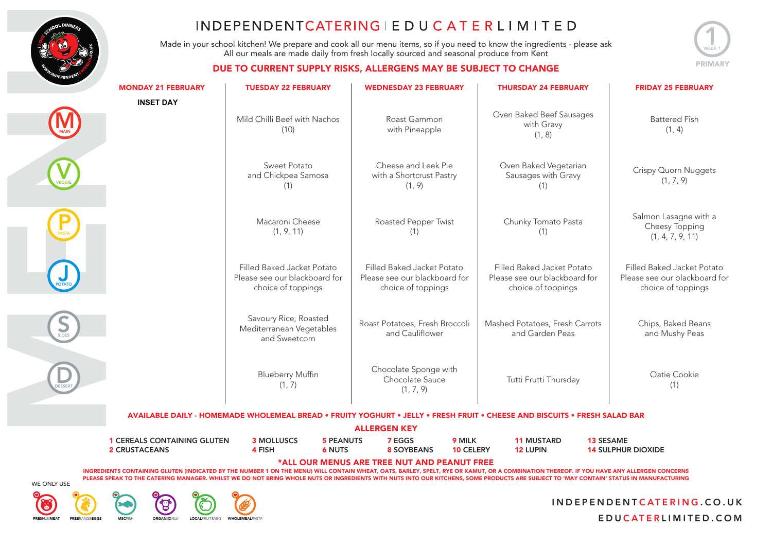

Made in your school kitchen! We prepare and cook all our menu items, so if you need to know the ingredients - please ask All our meals are made daily from fresh locally sourced and seasonal produce from Kent



#### DUE TO CURRENT SUPPLY RISKS, ALLERGENS MAY BE SUBJECT TO CHANGE

| <b>MONDAY 21 FEBRUARY</b>          | <b>TUESDAY 22 FEBRUARY</b>                                                        | <b>WEDNESDAY 23 FEBRUARY</b>                                                      | <b>THURSDAY 24 FEBRUARY</b>                                                                                                                                                                                                                                                                                                                                                        | <b>FRIDAY 25 FEBRUARY</b>                                                         |
|------------------------------------|-----------------------------------------------------------------------------------|-----------------------------------------------------------------------------------|------------------------------------------------------------------------------------------------------------------------------------------------------------------------------------------------------------------------------------------------------------------------------------------------------------------------------------------------------------------------------------|-----------------------------------------------------------------------------------|
| <b>INSET DAY</b>                   | Mild Chilli Beef with Nachos<br>(10)                                              | Roast Gammon<br>with Pineapple                                                    | Oven Baked Beef Sausages<br>with Gravy<br>(1, 8)                                                                                                                                                                                                                                                                                                                                   | <b>Battered Fish</b><br>(1, 4)                                                    |
|                                    | Sweet Potato<br>and Chickpea Samosa<br>(1)                                        | Cheese and Leek Pie<br>with a Shortcrust Pastry<br>(1, 9)                         | Oven Baked Vegetarian<br>Sausages with Gravy<br>(1)                                                                                                                                                                                                                                                                                                                                | Crispy Quorn Nuggets<br>(1, 7, 9)                                                 |
|                                    | Macaroni Cheese<br>(1, 9, 11)                                                     | Roasted Pepper Twist<br>(1)                                                       | Chunky Tomato Pasta<br>(1)                                                                                                                                                                                                                                                                                                                                                         | Salmon Lasagne with a<br>Cheesy Topping<br>(1, 4, 7, 9, 11)                       |
|                                    | Filled Baked Jacket Potato<br>Please see our blackboard for<br>choice of toppings | Filled Baked Jacket Potato<br>Please see our blackboard for<br>choice of toppings | Filled Baked Jacket Potato<br>Please see our blackboard for<br>choice of toppings                                                                                                                                                                                                                                                                                                  | Filled Baked Jacket Potato<br>Please see our blackboard for<br>choice of toppings |
|                                    | Savoury Rice, Roasted<br>Mediterranean Vegetables<br>and Sweetcorn                | Roast Potatoes, Fresh Broccoli<br>and Cauliflower                                 | Mashed Potatoes, Fresh Carrots<br>and Garden Peas                                                                                                                                                                                                                                                                                                                                  | Chips, Baked Beans<br>and Mushy Peas                                              |
|                                    | <b>Blueberry Muffin</b><br>(1, 7)                                                 | Chocolate Sponge with<br>Chocolate Sauce<br>(1, 7, 9)                             | Tutti Frutti Thursday                                                                                                                                                                                                                                                                                                                                                              | Oatie Cookie<br>(1)                                                               |
|                                    |                                                                                   |                                                                                   | AVAILABLE DAILY - HOMEMADE WHOLEMEAL BREAD • FRUITY YOGHURT • JELLY • FRESH FRUIT • CHEESE AND BISCUITS • FRESH SALAD BAR                                                                                                                                                                                                                                                          |                                                                                   |
| <b>1 CEREALS CONTAINING GLUTEN</b> | <b>3 MOLLUSCS</b><br><b>5 PEANUTS</b>                                             | <b>ALLERGEN KEY</b><br>7 EGGS<br>9 MILK                                           | <b>11 MUSTARD</b><br><b>13 SESAME</b>                                                                                                                                                                                                                                                                                                                                              |                                                                                   |
| <b>2 CRUSTACEANS</b>               | 4 FISH<br><b>6 NUTS</b>                                                           | <b>8 SOYBEANS</b><br><b>10 CELERY</b>                                             | <b>12 LUPIN</b>                                                                                                                                                                                                                                                                                                                                                                    | <b>14 SULPHUR DIOXIDE</b>                                                         |
|                                    |                                                                                   | *ALL OUR MENUS ARE TREE NUT AND PEANUT FREE                                       | INGREDIENTS CONTAINING GLUTEN (INDICATED BY THE NUMBER 1 ON THE MENU) WILL CONTAIN WHEAT, OATS, BARLEY, SPELT, RYE OR KAMUT, OR A COMBINATION THEREOF. IF YOU HAVE ANY ALLERGEN CONCERNS<br>PLEASE SPEAK TO THE CATERING MANAGER. WHILST WE DO NOT BRING WHOLE NUTS OR INGREDIENTS WITH NUTS INTO OUR KITCHENS, SOME PRODUCTS ARE SUBJECT TO 'MAY CONTAIN' STATUS IN MANUFACTURING |                                                                                   |

WE ONLY USE



## $\, \mathsf{G} \,$ FRESHUKMEAT FREERANGFEGGS MSCFISH ORGANICMILK LOCALFRUIT&VEG WHOLEMEALPASTA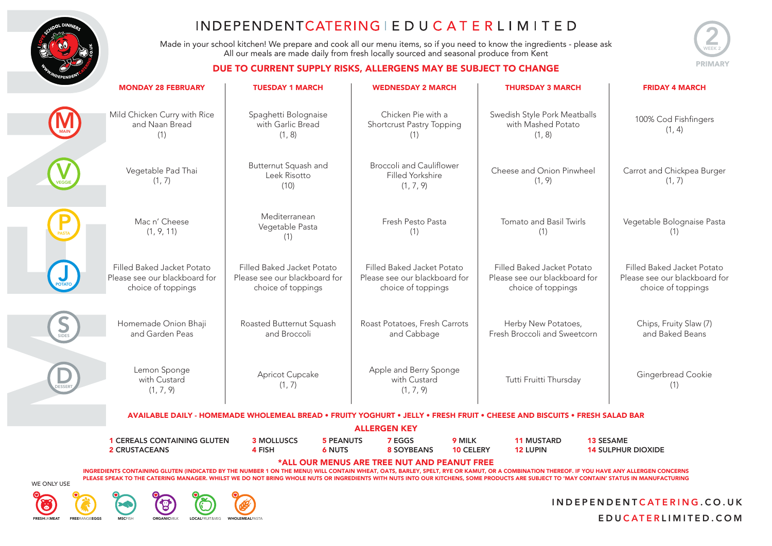

Made in your school kitchen! We prepare and cook all our menu items, so if you need to know the ingredients - please ask All our meals are made daily from fresh locally sourced and seasonal produce from Kent



#### DUE TO CURRENT SUPPLY RISKS, ALLERGENS MAY BE SUBJECT TO CHANGE

|        | <b>MONDAY 28 FEBRUARY</b>                                                                                                                                       | <b>TUESDAY 1 MARCH</b>                                                            | <b>WEDNESDAY 2 MARCH</b>                                                          | <b>THURSDAY 3 MARCH</b>                                                           | <b>FRIDAY 4 MARCH</b>                                                             |  |  |  |  |
|--------|-----------------------------------------------------------------------------------------------------------------------------------------------------------------|-----------------------------------------------------------------------------------|-----------------------------------------------------------------------------------|-----------------------------------------------------------------------------------|-----------------------------------------------------------------------------------|--|--|--|--|
|        | Mild Chicken Curry with Rice<br>and Naan Bread<br>(1)                                                                                                           | Spaghetti Bolognaise<br>with Garlic Bread<br>(1, 8)                               | Chicken Pie with a<br>Shortcrust Pastry Topping<br>(1)                            | Swedish Style Pork Meatballs<br>with Mashed Potato<br>(1, 8)                      | 100% Cod Fishfingers<br>(1, 4)                                                    |  |  |  |  |
|        | Vegetable Pad Thai<br>(1, 7)                                                                                                                                    | Butternut Squash and<br>Leek Risotto<br>(10)                                      | <b>Broccoli and Cauliflower</b><br>Filled Yorkshire<br>(1, 7, 9)                  | Cheese and Onion Pinwheel<br>(1, 9)                                               | Carrot and Chickpea Burger<br>(1, 7)                                              |  |  |  |  |
|        | Mac n' Cheese<br>(1, 9, 11)                                                                                                                                     | Mediterranean<br>Vegetable Pasta<br>(1)                                           | Fresh Pesto Pasta<br>(1)                                                          | Tomato and Basil Twirls<br>(1)                                                    | Vegetable Bolognaise Pasta<br>(1)                                                 |  |  |  |  |
|        | Filled Baked Jacket Potato<br>Please see our blackboard for<br>choice of toppings                                                                               | Filled Baked Jacket Potato<br>Please see our blackboard for<br>choice of toppings | Filled Baked Jacket Potato<br>Please see our blackboard for<br>choice of toppings | Filled Baked Jacket Potato<br>Please see our blackboard for<br>choice of toppings | Filled Baked Jacket Potato<br>Please see our blackboard for<br>choice of toppings |  |  |  |  |
| $\sum$ | Homemade Onion Bhaji<br>and Garden Peas                                                                                                                         | Roasted Butternut Squash<br>and Broccoli                                          | Roast Potatoes, Fresh Carrots<br>and Cabbage                                      | Herby New Potatoes,<br>Fresh Broccoli and Sweetcorn                               | Chips, Fruity Slaw (7)<br>and Baked Beans                                         |  |  |  |  |
|        | Lemon Sponge<br>with Custard<br>(1, 7, 9)                                                                                                                       | Apricot Cupcake<br>(1, 7)                                                         | Apple and Berry Sponge<br>with Custard<br>(1, 7, 9)                               | Tutti Fruitti Thursday                                                            | Gingerbread Cookie<br>(1)                                                         |  |  |  |  |
|        | <b>AVAILABLE DAILY - HOMEMADE WHOLEMEAL BREAD • FRUITY YOGHURT • JELLY</b><br><b>FRESH FRUIT • CHEESE AND BISCUITS • FRESH SALAD BAR</b><br><b>ALLERGEN KEY</b> |                                                                                   |                                                                                   |                                                                                   |                                                                                   |  |  |  |  |
|        |                                                                                                                                                                 |                                                                                   |                                                                                   |                                                                                   |                                                                                   |  |  |  |  |

| <b>1 CEREALS CONTAINING GLUTEN</b>          | <b>3 MOLLUSCS</b> | <b>5 PEANUTS</b> | 7 EGGS     | 9 MILK           | <b>11 MUSTARD</b> | <b>13 SESAME</b>          |  |  |
|---------------------------------------------|-------------------|------------------|------------|------------------|-------------------|---------------------------|--|--|
| <b>2 CRUSTACEANS</b>                        | ∔ FISH            | 6 NUTS           | 8 SOYBEANS | <b>10 CELERY</b> | <b>12 LUPIN</b>   | <b>14 SULPHUR DIOXIDE</b> |  |  |
| *ALL OUR MENUS ARE TREE NUT AND PEANUT FREE |                   |                  |            |                  |                   |                           |  |  |

INGREDIENTS CONTAINING GLUTEN (INDICATED BY THE NUMBER 1 ON THE MENU) WILL CONTAIN WHEAT, OATS, BARLEY, SPELT, RYE OR KAMUT, OR A COMBINATION THEREOF. IF YOU HAVE ANY ALLERGEN CONCERNS PLEASE SPEAK TO THE CATERING MANAGER. WHILST WE DO NOT BRING WHOLE NUTS OR INGREDIENTS WITH NUTS INTO OUR KITCHENS, SOME PRODUCTS ARE SUBJECT TO 'MAY CONTAIN' STATUS IN MANUFACTURING



## ြ

## EDECHIJKMEAT FREERANGEEGGS MSCEISH ORGANICMILK LOCALFRUIT&VEG WHOLEMEALPAST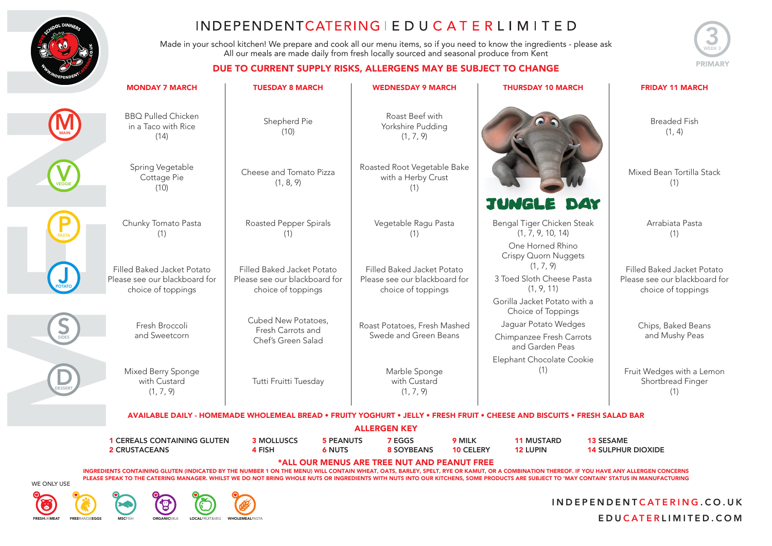

Made in your school kitchen! We prepare and cook all our menu items, so if you need to know the ingredients - please ask All our meals are made daily from fresh locally sourced and seasonal produce from Kent

#### DUE TO CURRENT SURPLY RISKS, ALLERGENS MAY BE SURJECT TO CHANGE



|       | COMMENT SOFT ET MSNS, ALLENGENS MATTEL SOBJECT TO CHANGE                          |                                                                                                                           |                                   |                                                                                   |                            |                                                                                                                                  |                                               |                                                                                   |
|-------|-----------------------------------------------------------------------------------|---------------------------------------------------------------------------------------------------------------------------|-----------------------------------|-----------------------------------------------------------------------------------|----------------------------|----------------------------------------------------------------------------------------------------------------------------------|-----------------------------------------------|-----------------------------------------------------------------------------------|
|       | <b>MONDAY 7 MARCH</b>                                                             | <b>TUESDAY 8 MARCH</b>                                                                                                    |                                   | <b>WEDNESDAY 9 MARCH</b>                                                          |                            | <b>THURSDAY 10 MARCH</b>                                                                                                         |                                               | <b>FRIDAY 11 MARCH</b>                                                            |
|       | <b>BBQ Pulled Chicken</b><br>Shepherd Pie<br>in a Taco with Rice<br>(10)<br>(14)  |                                                                                                                           |                                   | Roast Beef with<br>Yorkshire Pudding<br>(1, 7, 9)                                 |                            |                                                                                                                                  |                                               | <b>Breaded Fish</b><br>(1, 4)                                                     |
|       | Spring Vegetable<br>Cottage Pie<br>(10)                                           | Cheese and Tomato Pizza<br>(1, 8, 9)                                                                                      |                                   | Roasted Root Vegetable Bake<br>with a Herby Crust<br>(1)                          |                            |                                                                                                                                  |                                               | Mixed Bean Tortilla Stack<br>(1)                                                  |
|       | Chunky Tomato Pasta<br>(1)                                                        | Roasted Pepper Spirals<br>(1)                                                                                             |                                   | Vegetable Ragu Pasta<br>(1)                                                       |                            | <b>JUNGLE DAY</b><br>Bengal Tiger Chicken Steak<br>(1, 7, 9, 10, 14)                                                             |                                               | Arrabiata Pasta<br>(1)                                                            |
|       | Filled Baked Jacket Potato<br>Please see our blackboard for<br>choice of toppings | Filled Baked Jacket Potato<br>Please see our blackboard for<br>choice of toppings                                         |                                   | Filled Baked Jacket Potato<br>Please see our blackboard for<br>choice of toppings |                            | One Horned Rhino<br>Crispy Quorn Nuggets<br>(1, 7, 9)<br>3 Toed Sloth Cheese Pasta<br>(1, 9, 11)<br>Gorilla Jacket Potato with a |                                               | Filled Baked Jacket Potato<br>Please see our blackboard for<br>choice of toppings |
| SIDES | Fresh Broccoli<br>and Sweetcorn                                                   | Cubed New Potatoes,<br>Fresh Carrots and<br>Chef's Green Salad                                                            |                                   | Roast Potatoes, Fresh Mashed<br>Swede and Green Beans                             |                            | Choice of Toppings<br>Jaguar Potato Wedges<br>Chimpanzee Fresh Carrots<br>and Garden Peas                                        |                                               | Chips, Baked Beans<br>and Mushy Peas                                              |
|       | Mixed Berry Sponge<br>with Custard<br>(1, 7, 9)                                   | Tutti Fruitti Tuesday                                                                                                     |                                   | Marble Sponge<br>with Custard<br>(1, 7, 9)                                        |                            | Elephant Chocolate Cookie<br>(1)                                                                                                 |                                               | Fruit Wedges with a Lemon<br>Shortbread Finger<br>(1)                             |
|       |                                                                                   | AVAILABLE DAILY - HOMEMADE WHOLEMEAL BREAD • FRUITY YOGHURT • JELLY • FRESH FRUIT • CHEESE AND BISCUITS • FRESH SALAD BAR |                                   |                                                                                   |                            |                                                                                                                                  |                                               |                                                                                   |
|       |                                                                                   |                                                                                                                           | <b>ALLERGEN KEY</b>               |                                                                                   |                            |                                                                                                                                  |                                               |                                                                                   |
|       | <b>1 CEREALS CONTAINING GLUTEN</b><br><b>2 CRUSTACEANS</b>                        | <b>3 MOLLUSCS</b><br>4 FISH                                                                                               | <b>5 PEANUTS</b><br><b>6 NUTS</b> | 7 EGGS<br><b>8 SOYBEANS</b>                                                       | 9 MILK<br><b>10 CELERY</b> | <b>11 MUSTARD</b><br><b>12 LUPIN</b>                                                                                             | <b>13 SESAME</b><br><b>14 SULPHUR DIOXIDE</b> |                                                                                   |
|       | *ALL OUR MENUS ARE TREE NUT AND PEANUT FREE                                       |                                                                                                                           |                                   |                                                                                   |                            |                                                                                                                                  |                                               |                                                                                   |

INGREDIENTS CONTAINING GLUTEN (INDICATED BY THE NUMBER 1 ON THE MENU) WILL CONTAIN WHEAT, OATS, BARLEY, SPELT, RYE OR KAMUT, OR A COMBINATION THEREOF. IF YOU HAVE ANY ALLERGEN CONCERNS PLEASE SPEAK TO THE CATERING MANAGER. WHILST WE DO NOT BRING WHOLE NUTS OR INGREDIENTS WITH NUTS INTO OUR KITCHENS, SOME PRODUCTS ARE SUBJECT TO 'MAY CONTAIN' STATUS IN MANUFACTURING



い

# FRESHUKMEAT FREERANGEEGGS MSCFISH ORGANICMILK LOCALFRUIT&VEG WHOLEMEALPASTA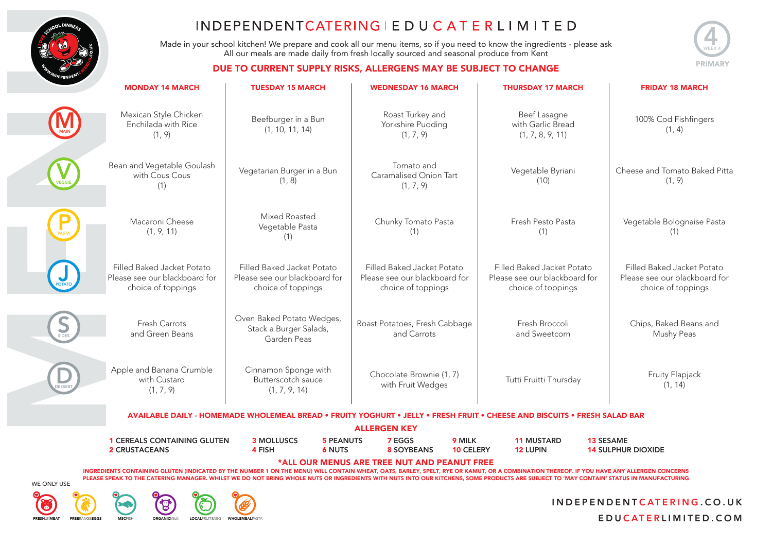

Made in your school kitchen! We prepare and cook all our menu items, so if you need to know the ingredients - please ask All our meals are made daily from fresh locally sourced and seasonal produce from Kent



#### DUE TO CURRENT SUPPLY RISKS, ALLERGENS MAY BE SUBJECT TO CHANGE

|             | <b>MONDAY 14 MARCH</b>                                                                                                                                                                 | <b>TUESDAY 15 MARCH</b>                                                           | <b>WEDNESDAY 16 MARCH</b>                                                         | <b>THURSDAY 17 MARCH</b>                                                          |                                         |  |  |  |  |  |
|-------------|----------------------------------------------------------------------------------------------------------------------------------------------------------------------------------------|-----------------------------------------------------------------------------------|-----------------------------------------------------------------------------------|-----------------------------------------------------------------------------------|-----------------------------------------|--|--|--|--|--|
|             | Mexican Style Chicken<br>Enchilada with Rice<br>(1, 9)                                                                                                                                 | Beefburger in a Bun<br>(1, 10, 11, 14)                                            | Roast Turkey and<br>Yorkshire Pudding<br>(1, 7, 9)                                | Beef Lasagne<br>with Garlic Bread<br>(1, 7, 8, 9, 11)                             | 100% Cod Fishfingers<br>(1, 4)          |  |  |  |  |  |
|             | Bean and Vegetable Goulash<br>with Cous Cous<br>(1)                                                                                                                                    | Vegetarian Burger in a Bun<br>(1, 8)                                              | Tomato and<br>Vegetable Byriani<br>Caramalised Onion Tart<br>(10)<br>(1, 7, 9)    |                                                                                   | Cheese and Tomato Baked Pitta<br>(1, 9) |  |  |  |  |  |
|             | Macaroni Cheese<br>(1, 9, 11)                                                                                                                                                          | Mixed Roasted<br>Vegetable Pasta<br>(1)                                           | Chunky Tomato Pasta<br>(1)                                                        | Fresh Pesto Pasta<br>(1)                                                          | Vegetable Bolognaise Pasta<br>(1)       |  |  |  |  |  |
|             | Filled Baked Jacket Potato<br>Please see our blackboard for<br>choice of toppings                                                                                                      | Filled Baked Jacket Potato<br>Please see our blackboard for<br>choice of toppings | Filled Baked Jacket Potato<br>Please see our blackboard for<br>choice of toppings | Filled Baked Jacket Potato<br>Please see our blackboard for<br>choice of toppings |                                         |  |  |  |  |  |
|             | Fresh Carrots<br>and Green Beans                                                                                                                                                       | Oven Baked Potato Wedges,<br>Stack a Burger Salads,<br>Garden Peas                | Fresh Broccoli<br>Roast Potatoes, Fresh Cabbage<br>and Carrots<br>and Sweetcorn   |                                                                                   | Chips, Baked Beans and<br>Mushy Peas    |  |  |  |  |  |
|             | Apple and Banana Crumble<br>with Custard<br>(1, 7, 9)                                                                                                                                  | Cinnamon Sponge with<br>Butterscotch sauce<br>(1, 7, 9, 14)                       | Chocolate Brownie (1, 7)<br>Tutti Fruitti Thursday<br>with Fruit Wedges           |                                                                                   | Fruity Flapjack<br>(1, 14)              |  |  |  |  |  |
|             | AVAILABLE DAILY - HOMEMADE WHOLEMEAL BREAD • FRUITY YOGHURT • JELLY • FRESH FRUIT • CHEESE AND BISCUITS • FRESH SALAD BAR                                                              |                                                                                   |                                                                                   |                                                                                   |                                         |  |  |  |  |  |
|             | <b>1 CEREALS CONTAINING GLUTEN</b>                                                                                                                                                     | <b>3 MOLLUSCS</b>                                                                 | <b>ALLERGEN KEY</b><br>9 MILK<br><b>5 PEANUTS</b><br><b>7 EGGS</b>                | <b>11 MUSTARD</b>                                                                 | <b>13 SESAME</b>                        |  |  |  |  |  |
|             | <b>2 CRUSTACEANS</b>                                                                                                                                                                   | 4 FISH<br><b>6 NUTS</b>                                                           | <b>8 SOYBEANS</b>                                                                 | <b>10 CELERY</b><br><b>12 LUPIN</b>                                               | <b>14 SULPHUR DIOXIDE</b>               |  |  |  |  |  |
| WE ONLY USE | PLEASE SPEAK TO THE CATERING MANAGER. WHILST WE DO NOT BRING WHOLE NUTS OR INGREDIENTS WITH NUTS INTO OUR KITCHENS, SOME PRODUCTS ARE SUBJECT TO 'MAY CONTAIN' STATUS IN MANUFACTURING |                                                                                   | *ALL OUR MENUS ARE TREE NUT AND PEANUT FREE                                       |                                                                                   |                                         |  |  |  |  |  |



## **<u>(°)</u>**

## Э FRESHUKMEAT FREERANGFEGGS MSCFISH ORGANICMILK LOCALFRUIT&VEG WHOLEMEALPASTA

 $\mathcal C$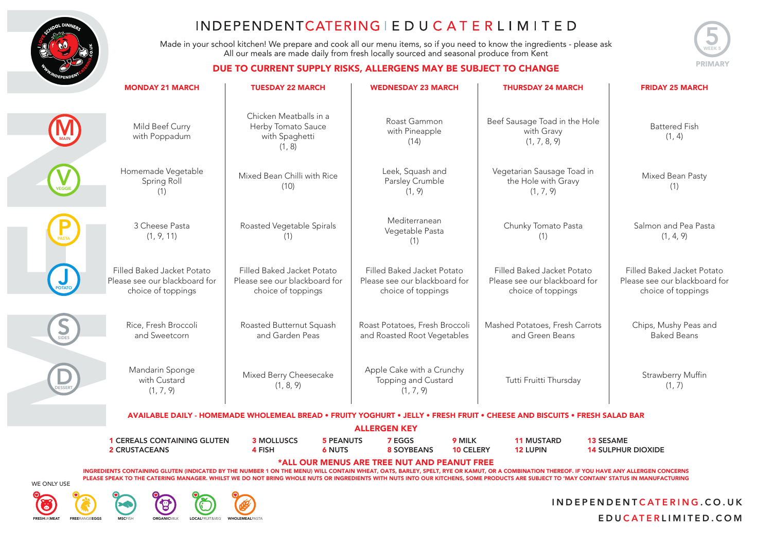

Made in your school kitchen! We prepare and cook all our menu items, so if you need to know the ingredients - please ask All our meals are made daily from fresh locally sourced and seasonal produce from Kent



#### DUE TO CURRENT SUPPLY RISKS, ALLERGENS MAY BE SUBJECT TO CHANGE

| <b>MONDAY 21 MARCH</b>                                                            | <b>TUESDAY 22 MARCH</b>                                                           | <b>WEDNESDAY 23 MARCH</b>                                                         | <b>THURSDAY 24 MARCH</b>                                                          | <b>FRIDAY 25 MARCH</b>                                                            |
|-----------------------------------------------------------------------------------|-----------------------------------------------------------------------------------|-----------------------------------------------------------------------------------|-----------------------------------------------------------------------------------|-----------------------------------------------------------------------------------|
| Mild Beef Curry<br>with Poppadum                                                  | Chicken Meatballs in a<br>Herby Tomato Sauce<br>with Spaghetti<br>(1, 8)          | Roast Gammon<br>with Pineapple<br>(14)                                            | Beef Sausage Toad in the Hole<br>with Gravy<br>(1, 7, 8, 9)                       | <b>Battered Fish</b><br>(1, 4)                                                    |
| Homemade Vegetable<br>Spring Roll<br>(1)                                          | Mixed Bean Chilli with Rice<br>(10)                                               | Leek, Squash and<br>Parsley Crumble<br>(1, 9)                                     | Vegetarian Sausage Toad in<br>the Hole with Gravy<br>(1, 7, 9)                    | Mixed Bean Pasty<br>(1)                                                           |
| 3 Cheese Pasta<br>(1, 9, 11)                                                      | Roasted Vegetable Spirals<br>(1)                                                  | Mediterranean<br>Vegetable Pasta<br>(1)                                           | Chunky Tomato Pasta<br>(1)                                                        | Salmon and Pea Pasta<br>(1, 4, 9)                                                 |
| Filled Baked Jacket Potato<br>Please see our blackboard for<br>choice of toppings | Filled Baked Jacket Potato<br>Please see our blackboard for<br>choice of toppings | Filled Baked Jacket Potato<br>Please see our blackboard for<br>choice of toppings | Filled Baked Jacket Potato<br>Please see our blackboard for<br>choice of toppings | Filled Baked Jacket Potato<br>Please see our blackboard for<br>choice of toppings |
| Rice, Fresh Broccoli<br>and Sweetcorn                                             | Roasted Butternut Squash<br>and Garden Peas                                       | Roast Potatoes, Fresh Broccoli<br>and Roasted Root Vegetables                     | Mashed Potatoes, Fresh Carrots<br>and Green Beans                                 | Chips, Mushy Peas and<br><b>Baked Beans</b>                                       |
| Mandarin Sponge<br>with Custard<br>(1, 7, 9)                                      | Mixed Berry Cheesecake<br>(1, 8, 9)                                               | Apple Cake with a Crunchy<br>Topping and Custard<br>(1, 7, 9)                     | Tutti Fruitti Thursday                                                            | Strawberry Muffin<br>(1, 7)                                                       |
|                                                                                   | <b>AVAILABLE DAILY - HOMEMADE WHOLEMEAL BREAD • FRUITY</b>                        |                                                                                   | <b>YOGHURT • JELLY • FRESH FRUIT • CHEESE AND BISCUITS • FRESH SALAD BAR</b>      |                                                                                   |
|                                                                                   |                                                                                   | <b>ALLERGEN KEY</b>                                                               |                                                                                   |                                                                                   |
| <b>1 CEREALS CONTAINING GLUTEN</b>                                                | <b>3 MOLLUSCS</b><br>5 PEANUTS                                                    | 9 MILK<br><b>7 EGGS</b>                                                           | <b>11 MUSTARD</b><br><b>13 SESAME</b>                                             |                                                                                   |

2 CRUSTACEANS **10 CELERY** 12 LUPIN 14 SULPHUR DIOXIDE \*ALL OUR MENUS ARE TREE NUT AND PEANUT FREE

INGREDIENTS CONTAINING GLUTEN (INDICATED BY THE NUMBER 1 ON THE MENU) WILL CONTAIN WHEAT, OATS, BARLEY, SPELT, RYE OR KAMUT, OR A COMBINATION THEREOF. IF YOU HAVE ANY ALLERGEN CONCERNS PLEASE SPEAK TO THE CATERING MANAGER. WHILST WE DO NOT BRING WHOLE NUTS OR INGREDIENTS WITH NUTS INTO OUR KITCHENS, SOME PRODUCTS ARE SUBJECT TO 'MAY CONTAIN' STATUS IN MANUFACTURING



ြ

## FRESHUKMEAT FREERANGEEGGS MSCFISH ORGANICMILK LOCALFRUIT&VEG WHOLEMEALPAST